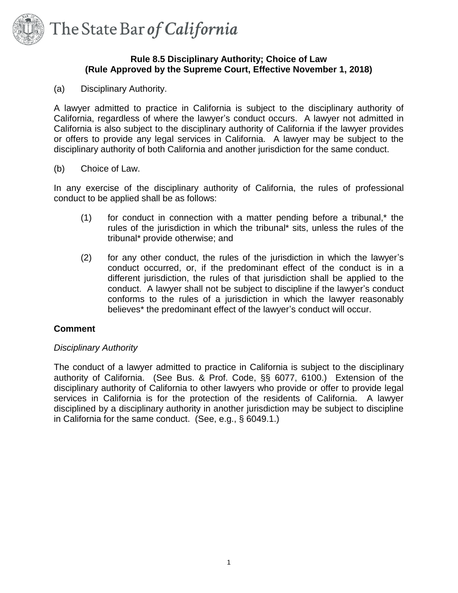

### **Rule 8.5 Disciplinary Authority; Choice of Law (Rule Approved by the Supreme Court, Effective November 1, 2018)**

(a) Disciplinary Authority.

A lawyer admitted to practice in California is subject to the disciplinary authority of California, regardless of where the lawyer's conduct occurs. A lawyer not admitted in California is also subject to the disciplinary authority of California if the lawyer provides or offers to provide any legal services in California. A lawyer may be subject to the disciplinary authority of both California and another jurisdiction for the same conduct.

(b) Choice of Law.

In any exercise of the disciplinary authority of California, the rules of professional conduct to be applied shall be as follows:

- (1) for conduct in connection with a matter pending before a tribunal,\* the rules of the jurisdiction in which the tribunal\* sits, unless the rules of the tribunal\* provide otherwise; and
- (2) for any other conduct, the rules of the jurisdiction in which the lawyer's conduct occurred, or, if the predominant effect of the conduct is in a different jurisdiction, the rules of that jurisdiction shall be applied to the conduct. A lawyer shall not be subject to discipline if the lawyer's conduct conforms to the rules of a jurisdiction in which the lawyer reasonably believes\* the predominant effect of the lawyer's conduct will occur.

#### **Comment**

#### *Disciplinary Authority*

The conduct of a lawyer admitted to practice in California is subject to the disciplinary authority of California. (See Bus. & Prof. Code, §§ 6077, 6100.) Extension of the disciplinary authority of California to other lawyers who provide or offer to provide legal services in California is for the protection of the residents of California. A lawyer disciplined by a disciplinary authority in another jurisdiction may be subject to discipline in California for the same conduct. (See, e.g., § 6049.1.)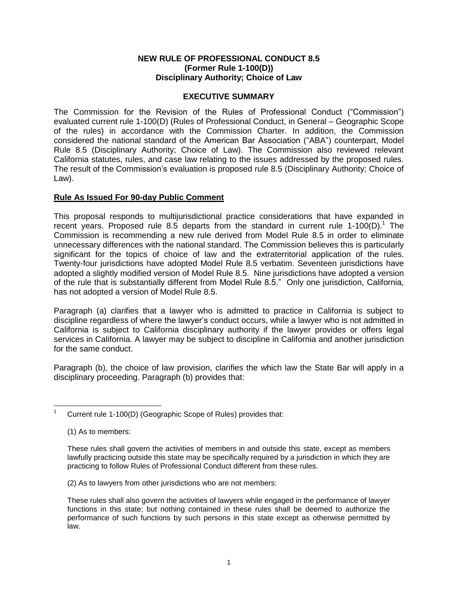#### **NEW RULE OF PROFESSIONAL CONDUCT 8.5 (Former Rule 1-100(D)) Disciplinary Authority; Choice of Law**

### **EXECUTIVE SUMMARY**

The Commission for the Revision of the Rules of Professional Conduct ("Commission") evaluated current rule 1-100(D) (Rules of Professional Conduct, in General – Geographic Scope of the rules) in accordance with the Commission Charter. In addition, the Commission considered the national standard of the American Bar Association ("ABA") counterpart, Model Rule 8.5 (Disciplinary Authority; Choice of Law). The Commission also reviewed relevant California statutes, rules, and case law relating to the issues addressed by the proposed rules. The result of the Commission's evaluation is proposed rule 8.5 (Disciplinary Authority; Choice of Law).

#### **Rule As Issued For 90-day Public Comment**

This proposal responds to multijurisdictional practice considerations that have expanded in recent years. Proposed rule 8.5 departs from the standard in current rule 1-100(D).<sup>1</sup> The Commission is recommending a new rule derived from Model Rule 8.5 in order to eliminate unnecessary differences with the national standard. The Commission believes this is particularly significant for the topics of choice of law and the extraterritorial application of the rules. Twenty-four jurisdictions have adopted Model Rule 8.5 verbatim. Seventeen jurisdictions have adopted a slightly modified version of Model Rule 8.5. Nine jurisdictions have adopted a version of the rule that is substantially different from Model Rule 8.5." Only one jurisdiction, California, has not adopted a version of Model Rule 8.5.

Paragraph (a) clarifies that a lawyer who is admitted to practice in California is subject to discipline regardless of where the lawyer's conduct occurs, while a lawyer who is not admitted in California is subject to California disciplinary authority if the lawyer provides or offers legal services in California. A lawyer may be subject to discipline in California and another jurisdiction for the same conduct.

Paragraph (b), the choice of law provision, clarifies the which law the State Bar will apply in a disciplinary proceeding. Paragraph (b) provides that:

(2) As to lawyers from other jurisdictions who are not members:

These rules shall also govern the activities of lawyers while engaged in the performance of lawyer functions in this state; but nothing contained in these rules shall be deemed to authorize the performance of such functions by such persons in this state except as otherwise permitted by law.

 $\overline{a}$ 1 Current rule 1-100(D) (Geographic Scope of Rules) provides that:

<sup>(1)</sup> As to members:

These rules shall govern the activities of members in and outside this state, except as members lawfully practicing outside this state may be specifically required by a jurisdiction in which they are practicing to follow Rules of Professional Conduct different from these rules.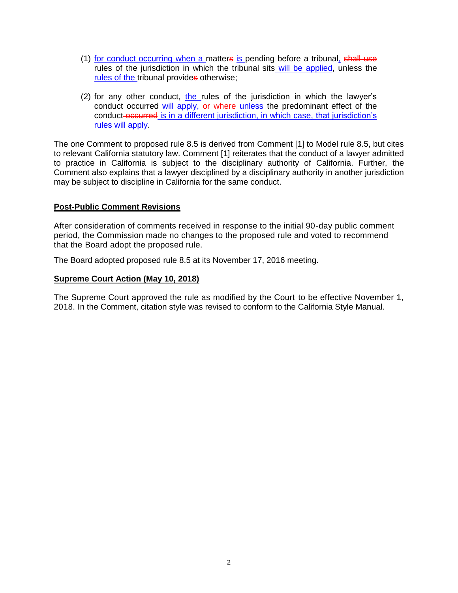- (1) for conduct occurring when a matters is pending before a tribunal, shall use rules of the jurisdiction in which the tribunal sits will be applied, unless the rules of the tribunal provides otherwise;
- (2) for any other conduct, the rules of the jurisdiction in which the lawyer's conduct occurred will apply, or where unless the predominant effect of the conduct occurred is in a different jurisdiction, in which case, that jurisdiction's rules will apply.

The one Comment to proposed rule 8.5 is derived from Comment [1] to Model rule 8.5, but cites to relevant California statutory law. Comment [1] reiterates that the conduct of a lawyer admitted to practice in California is subject to the disciplinary authority of California. Further, the Comment also explains that a lawyer disciplined by a disciplinary authority in another jurisdiction may be subject to discipline in California for the same conduct.

#### **Post-Public Comment Revisions**

After consideration of comments received in response to the initial 90-day public comment period, the Commission made no changes to the proposed rule and voted to recommend that the Board adopt the proposed rule.

The Board adopted proposed rule 8.5 at its November 17, 2016 meeting.

#### **Supreme Court Action (May 10, 2018)**

The Supreme Court approved the rule as modified by the Court to be effective November 1, 2018. In the Comment, citation style was revised to conform to the California Style Manual.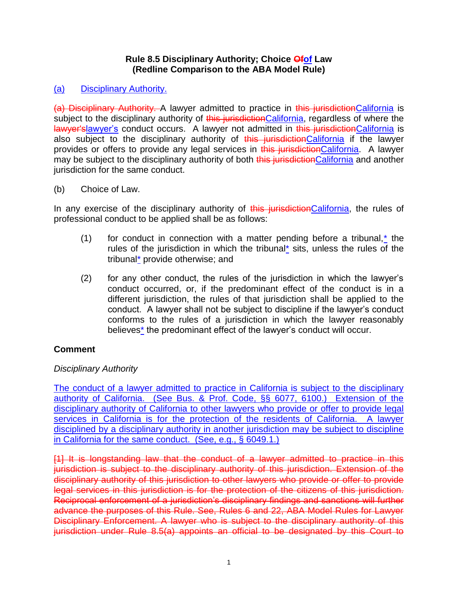## **Rule 8.5 Disciplinary Authority; Choice Ofof Law (Redline Comparison to the ABA Model Rule)**

# (a) Disciplinary Authority.

(a) Disciplinary Authority. A lawyer admitted to practice in this jurisdictionCalifornia is subject to the disciplinary authority of this jurisdictionCalifornia, regardless of where the lawyer'slawyer's conduct occurs. A lawyer not admitted in this jurisdictionCalifornia is also subject to the disciplinary authority of this jurisdictionCalifornia if the lawyer provides or offers to provide any legal services in this jurisdictionCalifornia. A lawyer may be subject to the disciplinary authority of both this jurisdiction California and another jurisdiction for the same conduct.

(b) Choice of Law.

In any exercise of the disciplinary authority of this jurisdictionCalifornia, the rules of professional conduct to be applied shall be as follows:

- (1) for conduct in connection with a matter pending before a tribunal, $*$  the rules of the jurisdiction in which the tribunal\* sits, unless the rules of the tribunal\* provide otherwise; and
- (2) for any other conduct, the rules of the jurisdiction in which the lawyer's conduct occurred, or, if the predominant effect of the conduct is in a different jurisdiction, the rules of that jurisdiction shall be applied to the conduct. A lawyer shall not be subject to discipline if the lawyer's conduct conforms to the rules of a jurisdiction in which the lawyer reasonably believes\* the predominant effect of the lawyer's conduct will occur.

## **Comment**

## *Disciplinary Authority*

The conduct of a lawyer admitted to practice in California is subject to the disciplinary authority of California. (See Bus. & Prof. Code, §§ 6077, 6100.) Extension of the disciplinary authority of California to other lawyers who provide or offer to provide legal services in California is for the protection of the residents of California. A lawyer disciplined by a disciplinary authority in another jurisdiction may be subject to discipline in California for the same conduct. (See, e.g., § 6049.1.)

[1] It is longstanding law that the conduct of a lawyer admitted to practice in this jurisdiction is subject to the disciplinary authority of this jurisdiction. Extension of the disciplinary authority of this jurisdiction to other lawyers who provide or offer to provide legal services in this jurisdiction is for the protection of the citizens of this jurisdiction. Reciprocal enforcement of a jurisdiction's disciplinary findings and sanctions will further advance the purposes of this Rule. See, Rules 6 and 22, ABA Model Rules for Lawyer Disciplinary Enforcement. A lawyer who is subject to the disciplinary authority of this jurisdiction under Rule 8.5(a) appoints an official to be designated by this Court to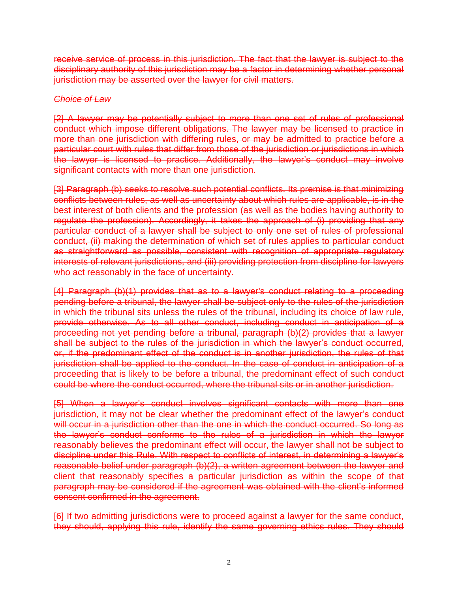receive service of process in this jurisdiction. The fact that the lawyer is subject to the disciplinary authority of this jurisdiction may be a factor in determining whether personal jurisdiction may be asserted over the lawyer for civil matters.

## *Choice of Law*

[2] A lawyer may be potentially subject to more than one set of rules of professional conduct which impose different obligations. The lawyer may be licensed to practice in more than one jurisdiction with differing rules, or may be admitted to practice before a particular court with rules that differ from those of the jurisdiction or jurisdictions in which the lawyer is licensed to practice. Additionally, the lawyer's conduct may involve significant contacts with more than one jurisdiction.

[3] Paragraph (b) seeks to resolve such potential conflicts. Its premise is that minimizing conflicts between rules, as well as uncertainty about which rules are applicable, is in the best interest of both clients and the profession (as well as the bodies having authority to regulate the profession). Accordingly, it takes the approach of (i) providing that any particular conduct of a lawyer shall be subject to only one set of rules of professional conduct, (ii) making the determination of which set of rules applies to particular conduct as straightforward as possible, consistent with recognition of appropriate regulatory interests of relevant jurisdictions, and (iii) providing protection from discipline for lawyers who act reasonably in the face of uncertainty.

[4] Paragraph (b)(1) provides that as to a lawyer's conduct relating to a proceeding pending before a tribunal, the lawyer shall be subject only to the rules of the jurisdiction in which the tribunal sits unless the rules of the tribunal, including its choice of law rule, provide otherwise. As to all other conduct, including conduct in anticipation of a proceeding not yet pending before a tribunal, paragraph (b)(2) provides that a lawyer shall be subject to the rules of the jurisdiction in which the lawyer's conduct occurred, or, if the predominant effect of the conduct is in another jurisdiction, the rules of that jurisdiction shall be applied to the conduct. In the case of conduct in anticipation of a proceeding that is likely to be before a tribunal, the predominant effect of such conduct could be where the conduct occurred, where the tribunal sits or in another jurisdiction.

[5] When a lawyer's conduct involves significant contacts with more than one jurisdiction, it may not be clear whether the predominant effect of the lawyer's conduct will occur in a jurisdiction other than the one in which the conduct occurred. So long as the lawyer's conduct conforms to the rules of a jurisdiction in which the lawyer reasonably believes the predominant effect will occur, the lawyer shall not be subject to discipline under this Rule. With respect to conflicts of interest, in determining a lawyer's reasonable belief under paragraph (b)(2), a written agreement between the lawyer and client that reasonably specifies a particular jurisdiction as within the scope of that paragraph may be considered if the agreement was obtained with the client's informed consent confirmed in the agreement.

[6] If two admitting jurisdictions were to proceed against a lawyer for the same conduct, they should, applying this rule, identify the same governing ethics rules. They should